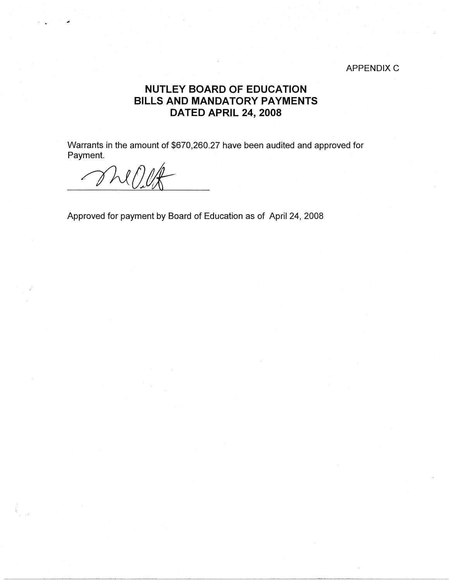## APPENDIX C

## **NUTLEY BOARD OF EDUCATION BILLS AND MANDATORY PAYMENTS DATED APRIL 24, 2008**

Warrants in the amount of \$670,260.27 have been audited and approved for Payment.

 $MOLf$ 

.. ., ...

Approved for payment by Board of Education as of April 24, 2008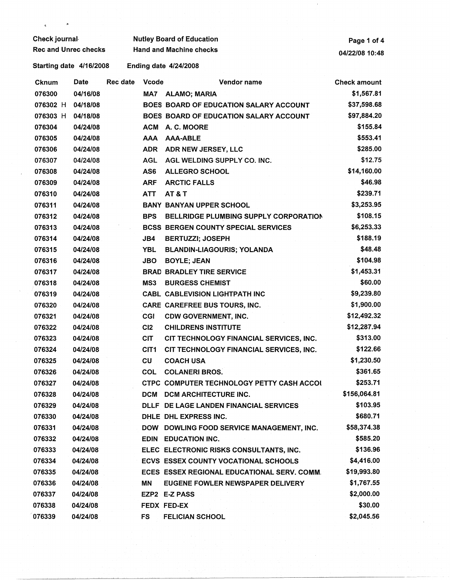| Check journal               |          |          | <b>Nutley Board of Education</b> | Page 1 of 4                                   |                     |
|-----------------------------|----------|----------|----------------------------------|-----------------------------------------------|---------------------|
| <b>Rec and Unrec checks</b> |          |          | <b>Hand and Machine checks</b>   | 04/22/08 10:48                                |                     |
| Starting date 4/16/2008     |          |          |                                  | <b>Ending date 4/24/2008</b>                  |                     |
| Cknum                       | Date     | Rec date | <b>Vcode</b>                     | Vendor name                                   | <b>Check amount</b> |
| 076300                      | 04/16/08 |          | MA7                              | <b>ALAMO; MARIA</b>                           | \$1,567.81          |
| 076302 H                    | 04/18/08 |          |                                  | <b>BOES BOARD OF EDUCATION SALARY ACCOUNT</b> | \$37,598.68         |
| 076303 H                    | 04/18/08 |          |                                  | BOES BOARD OF EDUCATION SALARY ACCOUNT        | \$97,884.20         |
| 076304                      | 04/24/08 |          | <b>ACM</b>                       | A. C. MOORE                                   | \$155.84            |
| 076305                      | 04/24/08 |          | <b>AAA</b>                       | <b>AAA-ABLE</b>                               | \$553.41            |
| 076306                      | 04/24/08 |          | <b>ADR</b>                       | ADR NEW JERSEY, LLC                           | \$285.00            |
| 076307                      | 04/24/08 |          | <b>AGL</b>                       | AGL WELDING SUPPLY CO. INC.                   | \$12.75             |
| 076308                      | 04/24/08 |          | AS6                              | <b>ALLEGRO SCHOOL</b>                         | \$14,160.00         |
| 076309                      | 04/24/08 |          | <b>ARF</b>                       | <b>ARCTIC FALLS</b>                           | \$46.98             |
| 076310                      | 04/24/08 |          | <b>ATT</b>                       | AT&T                                          | \$239.71            |
| 076311                      | 04/24/08 |          |                                  | <b>BANY BANYAN UPPER SCHOOL</b>               | \$3,253.95          |
| 076312                      | 04/24/08 |          | <b>BPS</b>                       | BELLRIDGE PLUMBING SUPPLY CORPORATION         | \$108.15            |
| 076313                      | 04/24/08 |          |                                  | <b>BCSS BERGEN COUNTY SPECIAL SERVICES</b>    | \$6,253.33          |
| 076314                      | 04/24/08 |          | JB4                              | <b>BERTUZZI; JOSEPH</b>                       | \$188.19            |
| 076315                      | 04/24/08 |          | <b>YBL</b>                       | <b>BLANDIN-LIAGOURIS; YOLANDA</b>             | \$48.48             |
| 076316                      | 04/24/08 |          | <b>JBO</b>                       | <b>BOYLE; JEAN</b>                            | \$104.98            |
| 076317                      | 04/24/08 |          |                                  | <b>BRAD BRADLEY TIRE SERVICE</b>              | \$1,453.31          |
| 076318                      | 04/24/08 |          | MS3                              | <b>BURGESS CHEMIST</b>                        | \$60.00             |
| 076319                      | 04/24/08 |          |                                  | <b>CABL CABLEVISION LIGHTPATH INC</b>         | \$9,239.80          |
| 076320                      | 04/24/08 |          |                                  | <b>CARE CAREFREE BUS TOURS, INC.</b>          | \$1,900.00          |
| 076321                      | 04/24/08 |          | <b>CGI</b>                       | <b>CDW GOVERNMENT, INC.</b>                   | \$12,492.32         |
| 076322                      | 04/24/08 |          | C <sub>12</sub>                  | <b>CHILDRENS INSTITUTE</b>                    | \$12,287.94         |
| 076323                      | 04/24/08 |          | <b>CIT</b>                       | CIT TECHNOLOGY FINANCIAL SERVICES, INC.       | \$313.00            |
| 076324                      | 04/24/08 |          | CIT <sub>1</sub>                 | CIT TECHNOLOGY FINANCIAL SERVICES, INC.       | \$122.66            |
| 076325                      | 04/24/08 |          | CU                               | <b>COACH USA</b>                              | \$1,230.50          |
| 076326                      | 04/24/08 |          | <b>COL</b>                       | <b>COLANERI BROS.</b>                         | \$361.65            |
| 076327                      | 04/24/08 |          |                                  | CTPC COMPUTER TECHNOLOGY PETTY CASH ACCOL     | \$253.71            |
| 076328                      | 04/24/08 |          |                                  | DCM DCM ARCHITECTURE INC.                     | \$156,064.81        |
| 076329                      | 04/24/08 |          |                                  | DLLF DE LAGE LANDEN FINANCIAL SERVICES        | \$103.95            |
| 076330                      | 04/24/08 |          |                                  | DHLE DHL EXPRESS INC.                         | \$680.71            |
| 076331                      | 04/24/08 |          |                                  | DOW DOWLING FOOD SERVICE MANAGEMENT, INC.     | \$58,374.38         |
| 076332                      | 04/24/08 |          |                                  | <b>EDIN EDUCATION INC.</b>                    | \$585.20            |
| 076333                      | 04/24/08 |          |                                  | ELEC ELECTRONIC RISKS CONSULTANTS, INC.       | \$136.96            |
| 076334                      | 04/24/08 |          |                                  | ECVS ESSEX COUNTY VOCATIONAL SCHOOLS          | \$4,416.00          |
| 076335                      | 04/24/08 |          |                                  | ECES ESSEX REGIONAL EDUCATIONAL SERV. COMM.   | \$19,993.80         |
| 076336                      | 04/24/08 |          | MΝ                               | EUGENE FOWLER NEWSPAPER DELIVERY              | \$1,767.55          |
| 076337                      | 04/24/08 |          |                                  | EZP2 E-Z PASS                                 | \$2,000.00          |
| 076338                      | 04/24/08 |          |                                  | FEDX FED-EX                                   | \$30.00             |
| 076339                      | 04/24/08 |          | FS                               | <b>FELICIAN SCHOOL</b>                        | \$2,045.56          |

 $\sim 0$  .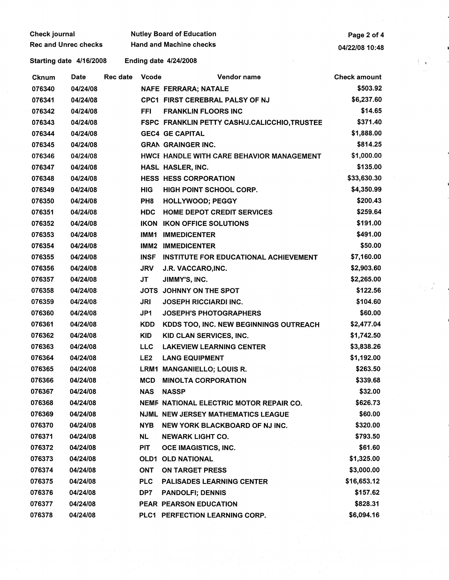| Check journal        | <b>Nutley Board of Education</b> | Page 2 of 4    |
|----------------------|----------------------------------|----------------|
| Rec and Unrec checks | <b>Hand and Machine checks</b>   | 04/22/08 10:48 |

Starting date 4/16/2008 Ending date 4/24/2008

| Cknum  | Date     | <b>Rec date</b> | <b>Vcode</b>    | Vendor name                                   | <b>Check amount</b> |
|--------|----------|-----------------|-----------------|-----------------------------------------------|---------------------|
| 076340 | 04/24/08 |                 |                 | <b>NAFE FERRARA; NATALE</b>                   | \$503.92            |
| 076341 | 04/24/08 |                 |                 | CPC1 FIRST CEREBRAL PALSY OF NJ               | \$6,237.60          |
| 076342 | 04/24/08 |                 | FFI             | <b>FRANKLIN FLOORS INC</b>                    | \$14.65             |
| 076343 | 04/24/08 |                 |                 | FSPC FRANKLIN PETTY CASH/J.CALICCHIO, TRUSTEE | \$371.40            |
| 076344 | 04/24/08 |                 |                 | <b>GEC4 GE CAPITAL</b>                        | \$1,888.00          |
| 076345 | 04/24/08 |                 |                 | <b>GRAN GRAINGER INC.</b>                     | \$814.25            |
| 076346 | 04/24/08 |                 |                 | HWCI HANDLE WITH CARE BEHAVIOR MANAGEMENT     | \$1,000.00          |
| 076347 | 04/24/08 |                 |                 | HASL HASLER, INC.                             | \$135.00            |
| 076348 | 04/24/08 |                 |                 | <b>HESS HESS CORPORATION</b>                  | \$33,630.30         |
| 076349 | 04/24/08 |                 | <b>HIG</b>      | HIGH POINT SCHOOL CORP.                       | \$4,350.99          |
| 076350 | 04/24/08 |                 | PH <sub>8</sub> | <b>HOLLYWOOD; PEGGY</b>                       | \$200.43            |
| 076351 | 04/24/08 |                 | <b>HDC</b>      | <b>HOME DEPOT CREDIT SERVICES</b>             | \$259.64            |
| 076352 | 04/24/08 |                 | <b>IKON</b>     | <b>IKON OFFICE SOLUTIONS</b>                  | \$191.00            |
| 076353 | 04/24/08 |                 | IMM1            | <b>IMMEDICENTER</b>                           | \$491.00            |
| 076354 | 04/24/08 |                 | IMM2            | <b>IMMEDICENTER</b>                           | \$50.00             |
| 076355 | 04/24/08 |                 | INSF            | <b>INSTITUTE FOR EDUCATIONAL ACHIEVEMENT</b>  | \$7,160.00          |
| 076356 | 04/24/08 |                 | <b>JRV</b>      | J.R. VACCARO, INC.                            | \$2,903.60          |
| 076357 | 04/24/08 |                 | JT              | JIMMY'S, INC.                                 | \$2,265.00          |
| 076358 | 04/24/08 |                 |                 | JOTS JOHNNY ON THE SPOT                       | \$122.56            |
| 076359 | 04/24/08 |                 | JRI             | <b>JOSEPH RICCIARDI INC.</b>                  | \$104.60            |
| 076360 | 04/24/08 |                 | JP1             | <b>JOSEPH'S PHOTOGRAPHERS</b>                 | \$60.00             |
| 076361 | 04/24/08 |                 | <b>KDD</b>      | KDDS TOO, INC. NEW BEGINNINGS OUTREACH        | \$2,477.04          |
| 076362 | 04/24/08 |                 | KID             | KID CLAN SERVICES, INC.                       | \$1,742.50          |
| 076363 | 04/24/08 |                 | <b>LLC</b>      | <b>LAKEVIEW LEARNING CENTER</b>               | \$3,838.26          |
| 076364 | 04/24/08 |                 | LE <sub>2</sub> | <b>LANG EQUIPMENT</b>                         | \$1,192.00          |
| 076365 | 04/24/08 |                 | LRM1            | <b>MANGANIELLO; LOUIS R.</b>                  | \$263.50            |
| 076366 | 04/24/08 |                 | <b>MCD</b>      | <b>MINOLTA CORPORATION</b>                    | \$339.68            |
| 076367 | 04/24/08 |                 | <b>NAS</b>      | <b>NASSP</b>                                  | \$32.00             |
| 076368 | 04/24/08 |                 |                 | NEMF NATIONAL ELECTRIC MOTOR REPAIR CO.       | \$626.73            |
| 076369 | 04/24/08 |                 |                 | <b>NJML NEW JERSEY MATHEMATICS LEAGUE</b>     | \$60.00             |
| 076370 | 04/24/08 |                 | NYB.            | NEW YORK BLACKBOARD OF NJ INC.                | \$320.00            |
| 076371 | 04/24/08 |                 | NL.             | <b>NEWARK LIGHT CO.</b>                       | \$793.50            |
| 076372 | 04/24/08 |                 | PIT             | OCE IMAGISTICS, INC.                          | \$61.60             |
| 076373 | 04/24/08 |                 | OLD1            | <b>OLD NATIONAL</b>                           | \$1,325.00          |
| 076374 | 04/24/08 |                 | <b>ONT</b>      | <b>ON TARGET PRESS</b>                        | \$3,000.00          |
| 076375 | 04/24/08 |                 | <b>PLC</b>      | <b>PALISADES LEARNING CENTER</b>              | \$16,653.12         |
| 076376 | 04/24/08 |                 | DP7             | <b>PANDOLFI; DENNIS</b>                       | \$157.62            |
| 076377 | 04/24/08 |                 |                 | PEAR PEARSON EDUCATION                        | \$828.31            |
| 076378 | 04/24/08 |                 |                 | PLC1 PERFECTION LEARNING CORP.                | \$6,094.16          |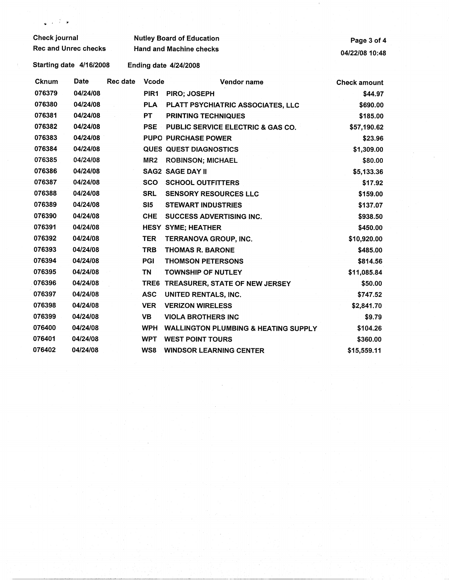| <b>Check journal</b>        |          |                 | <b>Nutley Board of Education</b> | Page 3 of 4                                     |                     |
|-----------------------------|----------|-----------------|----------------------------------|-------------------------------------------------|---------------------|
| <b>Rec and Unrec checks</b> |          |                 | <b>Hand and Machine checks</b>   | 04/22/08 10:48                                  |                     |
| Starting date 4/16/2008     |          |                 |                                  | <b>Ending date 4/24/2008</b>                    |                     |
| Cknum                       | Date     | <b>Rec date</b> | <b>Vcode</b>                     | Vendor name                                     | <b>Check amount</b> |
| 076379                      | 04/24/08 |                 | PIR <sub>1</sub>                 | PIRO; JOSEPH                                    | \$44.97             |
| 076380                      | 04/24/08 |                 | <b>PLA</b>                       | PLATT PSYCHIATRIC ASSOCIATES, LLC               | \$690.00            |
| 076381                      | 04/24/08 |                 | <b>PT</b>                        | <b>PRINTING TECHNIQUES</b>                      | \$185.00            |
| 076382                      | 04/24/08 |                 | <b>PSE</b>                       | PUBLIC SERVICE ELECTRIC & GAS CO.               | \$57,190.62         |
| 076383                      | 04/24/08 |                 |                                  | <b>PUPO PURCHASE POWER</b>                      | \$23.96             |
| 076384                      | 04/24/08 |                 |                                  | <b>QUES QUEST DIAGNOSTICS</b>                   | \$1,309.00          |
| 076385                      | 04/24/08 |                 | MR2                              | <b>ROBINSON; MICHAEL</b>                        | \$80.00             |
| 076386                      | 04/24/08 |                 |                                  | <b>SAG2 SAGE DAY II</b>                         | \$5,133.36          |
| 076387                      | 04/24/08 |                 | <b>SCO</b>                       | <b>SCHOOL OUTFITTERS</b>                        | \$17.92             |
| 076388                      | 04/24/08 |                 | <b>SRL</b>                       | SENSORY RESOURCES LLC                           | \$159.00            |
| 076389                      | 04/24/08 |                 | SI <sub>5</sub>                  | <b>STEWART INDUSTRIES</b>                       | \$137.07            |
| 076390                      | 04/24/08 |                 | <b>CHE</b>                       | <b>SUCCESS ADVERTISING INC.</b>                 | \$938.50            |
| 076391                      | 04/24/08 |                 |                                  | <b>HESY SYME; HEATHER</b>                       | \$450.00            |
| 076392                      | 04/24/08 |                 | <b>TER</b>                       | TERRANOVA GROUP, INC.                           | \$10,920.00         |
| 076393                      | 04/24/08 |                 | <b>TRB</b>                       | <b>THOMAS R. BARONE</b>                         | \$485.00            |
| 076394                      | 04/24/08 |                 | <b>PGI</b>                       | <b>THOMSON PETERSONS</b>                        | \$814.56            |
| 076395                      | 04/24/08 |                 | TN                               | <b>TOWNSHIP OF NUTLEY</b>                       | \$11,085.84         |
| 076396                      | 04/24/08 |                 | TRE6                             | TREASURER, STATE OF NEW JERSEY                  | \$50.00             |
| 076397                      | 04/24/08 |                 | <b>ASC</b>                       | UNITED RENTALS, INC.                            | \$747.52            |
| 076398                      | 04/24/08 |                 | <b>VER</b>                       | <b>VERIZON WIRELESS</b>                         | \$2,841.70          |
| 076399                      | 04/24/08 |                 | <b>VB</b>                        | <b>VIOLA BROTHERS INC</b>                       | \$9.79              |
| 076400                      | 04/24/08 |                 | <b>WPH</b>                       | <b>WALLINGTON PLUMBING &amp; HEATING SUPPLY</b> | \$104.26            |
| 076401                      | 04/24/08 |                 | <b>WPT</b>                       | <b>WEST POINT TOURS</b>                         | \$360.00            |
| 076402                      | 04/24/08 |                 | WS8                              | <b>WINDSOR LEARNING CENTER</b>                  | \$15,559.11         |

 $\cdot$  '  $\cdot$  ,  $\cdot$